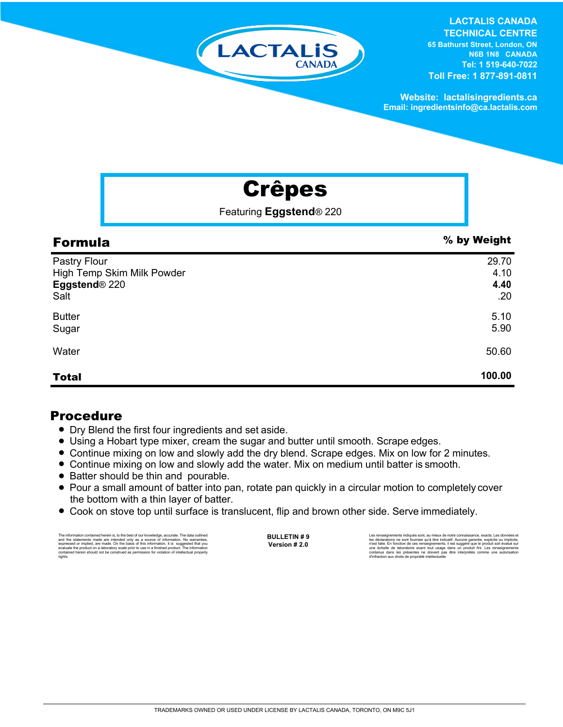

**LACTALIS CANADA TECHNICAL CENTRE**

**65 Bathurst Street, London, ON N6B 1N8 CANADA Tel: 1 519-640-7022 Toll Free: 1 877-891-0811**

**Website: lactalisingredients.ca Email: ingredientsinfo@ca.lactalis.com**

# Crêpes

Featuring **Eggstend***®* 220

| <b>Formula</b>                                                      | % by Weight                  |
|---------------------------------------------------------------------|------------------------------|
| Pastry Flour<br>High Temp Skim Milk Powder<br>Eggstend® 220<br>Salt | 29.70<br>4.10<br>4.40<br>.20 |
| <b>Butter</b><br>Sugar                                              | 5.10<br>5.90                 |
| Water                                                               | 50.60                        |
| <b>Total</b>                                                        | 100.00                       |

## Procedure

- Dry Blend the first four ingredients and set aside.
- Using a Hobart type mixer, cream the sugar and butter until smooth. Scrape edges.
- Continue mixing on low and slowly add the dry blend. Scrape edges. Mix on low for 2 minutes.
- Continue mixing on low and slowly add the water. Mix on medium until batter is smooth.
- Batter should be thin and pourable.
- = Pour a small amount of batter into pan, rotate pan quickly in a circular motion to completely cover the bottom with a thin layer of batter.
- Cook on stove top until surface is translucent, flip and brown other side. Serve immediately.

The information contained herein is, to the best of our knowledge, accurate. The data outlined the statements made are intended only as a source of information. No warranties, expressed or implied, are made. On the basis o

**BULLETIN # 9 Version # 2.0**

Les rensejonements indiqués sont, au mieux de notre connaissance, exacts. Les données et<br>les déclarations ne sont fournies qu'à titre indicatif. Aucune garantie, explicite ou implicite,<br>n'est faite. En fonction de ces rens